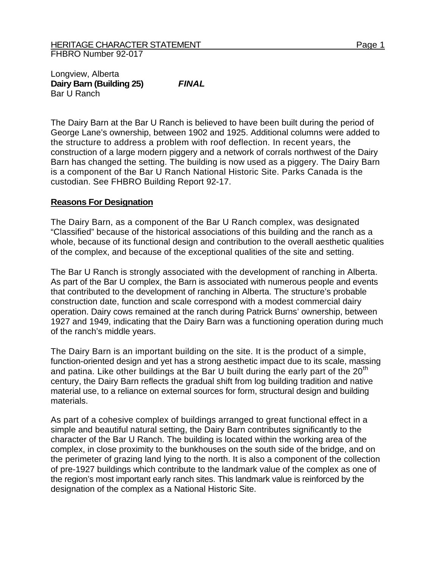Longview, Alberta **Dairy Barn (Building 25)** *FINAL*  Bar U Ranch

The Dairy Barn at the Bar U Ranch is believed to have been built during the period of George Lane's ownership, between 1902 and 1925. Additional columns were added to the structure to address a problem with roof deflection. In recent years, the construction of a large modern piggery and a network of corrals northwest of the Dairy Barn has changed the setting. The building is now used as a piggery. The Dairy Barn is a component of the Bar U Ranch National Historic Site. Parks Canada is the custodian. See FHBRO Building Report 92-17.

## **Reasons For Designation**

The Dairy Barn, as a component of the Bar U Ranch complex, was designated "Classified" because of the historical associations of this building and the ranch as a whole, because of its functional design and contribution to the overall aesthetic qualities of the complex, and because of the exceptional qualities of the site and setting.

The Bar U Ranch is strongly associated with the development of ranching in Alberta. As part of the Bar U complex, the Barn is associated with numerous people and events that contributed to the development of ranching in Alberta. The structure's probable construction date, function and scale correspond with a modest commercial dairy operation. Dairy cows remained at the ranch during Patrick Burns' ownership, between 1927 and 1949, indicating that the Dairy Barn was a functioning operation during much of the ranch's middle years.

The Dairy Barn is an important building on the site. It is the product of a simple, function-oriented design and yet has a strong aesthetic impact due to its scale, massing and patina. Like other buildings at the Bar U built during the early part of the  $20<sup>th</sup>$ century, the Dairy Barn reflects the gradual shift from log building tradition and native material use, to a reliance on external sources for form, structural design and building materials.

As part of a cohesive complex of buildings arranged to great functional effect in a simple and beautiful natural setting, the Dairy Barn contributes significantly to the character of the Bar U Ranch. The building is located within the working area of the complex, in close proximity to the bunkhouses on the south side of the bridge, and on the perimeter of grazing land lying to the north. It is also a component of the collection of pre-1927 buildings which contribute to the landmark value of the complex as one of the region's most important early ranch sites. This landmark value is reinforced by the designation of the complex as a National Historic Site.